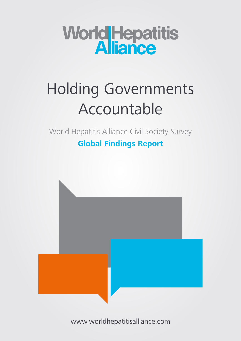# World Hepatitis

## Holding Governments Accountable

World Hepatitis Alliance Civil Society Survey **Global Findings Report**



[www.worldhepatitisalliance.com](http://www.worldhepatitisalliance.com)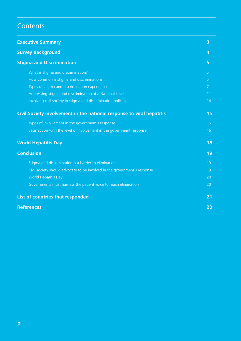## **Contents**

| <b>Executive Summary</b><br><b>Survey Background</b>                      |                |  |
|---------------------------------------------------------------------------|----------------|--|
|                                                                           |                |  |
| What is stigma and discrimination?                                        | 5              |  |
| How common is stigma and discrimination?                                  | 5              |  |
| Types of stigma and discrimination experienced                            | $\overline{7}$ |  |
| Addressing stigma and discrimination at a National Level                  | 11             |  |
| Involving civil society in stigma and discrimination policies             | 14             |  |
| Civil Society involvement in the national response to viral hepatitis     |                |  |
| Types of involvement in the government's response                         | 15             |  |
| Satisfaction with the level of involvement in the government response     | 16             |  |
| <b>World Hepatitis Day</b>                                                | 18             |  |
| <b>Conclusion</b>                                                         | 19             |  |
| Stigma and discrimination is a barrier to elimination                     | 19             |  |
| Civil society should advocate to be involved in the government's response | 19             |  |
| <b>World Hepatitis Day</b>                                                | 20             |  |
| Governments must harness the patient voice to reach elimination           | 20             |  |
| List of countries that responded                                          | 21             |  |
| <b>References</b>                                                         | 23             |  |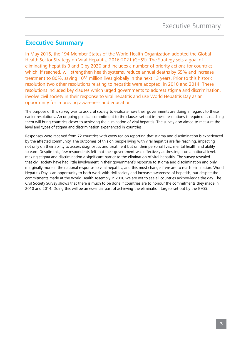## <span id="page-2-0"></span>**Executive Summary**

In May 2016, the 194 Member States of the World Health Organization adopted the Global Health Sector Strategy on Viral Hepatitis, 2016-2021 (GHSS). The Strategy sets a goal of eliminating hepatitis B and C by 2030 and includes a number of priority actions for countries which, if reached, will strengthen health systems, reduce annual deaths by 65% and increase treatment to 80%, saving 10<sup>1,2</sup> million lives globally in the next 13 years. Prior to this historic resolution two other resolutions relating to hepatitis were adopted, in 2010 and 2014. These resolutions included key clauses which urged governments to address stigma and discrimination, involve civil society in their response to viral hepatitis and use World Hepatitis Day as an opportunity for improving awareness and education.

The purpose of this survey was to ask civil society to evaluate how their governments are doing in regards to these earlier resolutions. An ongoing political commitment to the clauses set out in these resolutions is required as reaching them will bring countries closer to achieving the elimination of viral hepatitis. The survey also aimed to measure the level and types of stigma and discrimination experienced in countries.

Responses were received from 72 countries with every region reporting that stigma and discrimination is experienced by the affected community. The outcomes of this on people living with viral hepatitis are far-reaching, impacting not only on their ability to access diagnostics and treatment but on their personal lives, mental health and ability to earn. Despite this, few respondents felt that their government was effectively addressing it on a national level, making stigma and discrimination a significant barrier to the elimination of viral hepatitis. The survey revealed that civil society have had little involvement in their government's response to stigma and discrimination and only marginally more in the national response to viral hepatitis, and this must change if we are to reach elimination. World Hepatitis Day is an opportunity to both work with civil society and increase awareness of hepatitis, but despite the commitments made at the World Health Assembly in 2010 we are yet to see all countries acknowledge the day. The Civil Society Survey shows that there is much to be done if countries are to honour the commitments they made in 2010 and 2014. Doing this will be an essential part of achieving the elimination targets set out by the GHSS.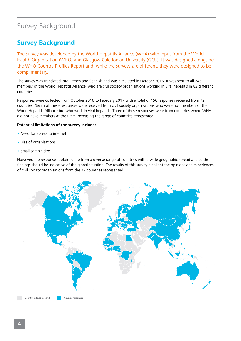## <span id="page-3-0"></span>Survey Background

## **Survey Background**

The survey was developed by the World Hepatitis Alliance (WHA) with input from the World Health Organisation (WHO) and Glasgow Caledonian University (GCU). It was designed alongside the WHO Country Profiles Report and, while the surveys are different, they were designed to be complimentary.

The survey was translated into French and Spanish and was circulated in October 2016. It was sent to all 245 members of the World Hepatitis Alliance, who are civil society organisations working in viral hepatitis in 82 different countries.

Responses were collected from October 2016 to February 2017 with a total of 156 responses received from 72 countries. Seven of these responses were received from civil society organisations who were not members of the World Hepatitis Alliance but who work in viral hepatitis. Three of these responses were from countries where WHA did not have members at the time, increasing the range of countries represented.

#### **Potential limitations of the survey include:**

- Need for access to internet
- • Bias of organisations
- Small sample size

However, the responses obtained are from a diverse range of countries with a wide geographic spread and so the findings should be indicative of the global situation. The results of this survey highlight the opinions and experiences of civil society organisations from the 72 countries represented.

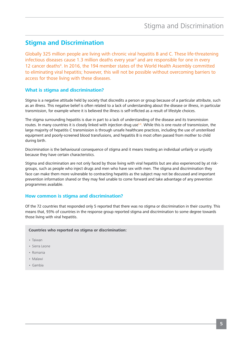<span id="page-4-0"></span>Globally 325 million people are living with chronic viral hepatitis B and C. These life-threatening infectious diseases cause 1.3 million deaths every year<sup>3</sup> and are responsible for one in every 12 cancer deaths<sup>4</sup>. In 2016, the 194 member states of the World Health Assembly committed to eliminating viral hepatitis; however, this will not be possible without overcoming barriers to access for those living with these diseases.

## **What is stigma and discrimination?**

Stigma is a negative attitude held by society that discredits a person or group because of a particular attribute, such as an illness. This negative belief is often related to a lack of understanding about the disease or illness, in particular transmission, for example where it is believed the illness is self-inflicted as a result of lifestyle choices.

The stigma surrounding hepatitis is due in part to a lack of understanding of the disease and its transmission routes. In many countries it is closely linked with injection drug use<sup>5,6</sup>. While this is one route of transmission, the large majority of hepatitis C transmission is through unsafe healthcare practices, including the use of unsterilised equipment and poorly-screened blood transfusions, and hepatitis B is most often passed from mother to child during birth.

Discrimination is the behavioural consequence of stigma and it means treating an individual unfairly or unjustly because they have certain characteristics.

Stigma and discrimination are not only faced by those living with viral hepatitis but are also experienced by at riskgroups, such as people who inject drugs and men who have sex with men. The stigma and discrimination they face can make them more vulnerable to contracting hepatitis as the subject may not be discussed and important prevention information shared or they may feel unable to come forward and take advantage of any prevention programmes available.

## **How common is stigma and discrimination?**

Of the 72 countries that responded only 5 reported that there was no stigma or discrimination in their country. This means that, 93% of countries in the response group reported stigma and discrimination to some degree towards those living with viral hepatitis.

**Countries who reported no stigma or discrimination:** 

- • Taiwan
- • Sierra Leone
- • Romania
- • Malawi
- • Gambia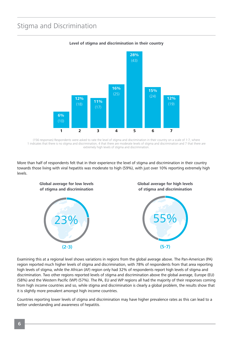

#### **Level of stigma and discrimination in their country**

(156 responses) Respondents were asked to rate the level of stigma and discrimination in their country on a scale of 1-7, where 1 indicates that there is no stigma and discrimination, 4 that there are moderate levels of stigma and discrimination and 7 that there are extremely high levels of stigma and discrimination.

More than half of respondents felt that in their experience the level of stigma and discrimination in their country towards those living with viral hepatitis was moderate to high (59%), with just over 10% reporting extremely high levels.



Examining this at a regional level shows variations in regions from the global average above. The Pan-American (PA) region reported much higher levels of stigma and discrimination, with 78% of respondents from that area reporting high levels of stigma, while the African (AF) region only had 32% of respondents report high levels of stigma and discrimination. Two other regions reported levels of stigma and discrimination above the global average, Europe (EU) (58%) and the Western Pacific (WP) (57%). The PA, EU and WP regions all had the majority of their responses coming from high income countries and so, while stigma and discrimination is clearly a global problem, the results show that it is slightly more prevalent amongst high income countries.

Countries reporting lower levels of stigma and discrimination may have higher prevalence rates as this can lead to a better understanding and awareness of hepatitis.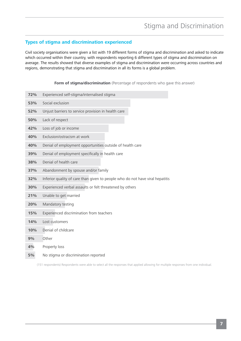## <span id="page-6-0"></span>**Types of stigma and discrimination experienced**

**72%** Experienced self-stigma/internalised stigma

Civil society organisations were given a list with 19 different forms of stigma and discrimination and asked to indicate which occurred within their country, with respondents reporting 6 different types of stigma and discrimination on average. The results showed that diverse examples of stigma and discrimination were occurring across countries and regions, demonstrating that stigma and discrimination in all its forms is a global problem.

#### **Form of stigma/discrimination** (Percentage of respondents who gave this answer)

| 53%                                             | Social exclusion                                                                                      |  |
|-------------------------------------------------|-------------------------------------------------------------------------------------------------------|--|
| 52%                                             | Unjust barriers to service provision in health care                                                   |  |
| 50%                                             | Lack of respect                                                                                       |  |
| 42%                                             | Loss of job or income                                                                                 |  |
| 40%                                             | Exclusion/ostracism at work                                                                           |  |
| 40%                                             | Denial of employment opportunities outside of health care                                             |  |
| 39%                                             | Denial of employment specifically in health care                                                      |  |
| 38%                                             | Denial of health care                                                                                 |  |
| 37%                                             | Abandonment by spouse and/or family                                                                   |  |
| 32%                                             | Inferior quality of care than given to people who do not have viral hepatitis                         |  |
| 30%                                             | Experienced verbal assaults or felt threatened by others                                              |  |
| 21%                                             | Unable to get married                                                                                 |  |
| 20%                                             | Mandatory testing                                                                                     |  |
| Experienced discrimination from teachers<br>15% |                                                                                                       |  |
| 14%                                             | Lost customers                                                                                        |  |
| 10%                                             | Denial of childcare                                                                                   |  |
| 9%                                              | Other                                                                                                 |  |
| 4%                                              | Property loss                                                                                         |  |
| 5%                                              | No stigma or discrimination reported                                                                  |  |
|                                                 | (151 respondents) Respondents were able to select all the responses that applied allowing for multipl |  |

for multiple responses from one individual.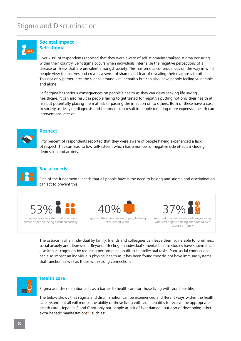

#### **Societal impact Self-stigma**

Over 70% of respondents reported that they were aware of self-stigma/internalised stigma occurring within their country. Self-stigma occurs when individuals internalise the negative perceptions of a disease or illness that are prevalent amongst society. This has serious consequences on the way in which people view themselves and creates a sense of shame and fear of revealing their diagnosis to others. This not only perpetuates the silence around viral hepatitis but can also leave people feeling vulnerable and alone.

Self-stigma has serious consequences on people's health as they can delay seeking life-saving healthcare. It can also result in people failing to get tested for hepatitis putting not only their health at risk but potentially placing them at risk of passing the infection on to others. Both of these have a cost to society as delaying diagnosis and treatment can result in people requiring more expensive health care interventions later on.



#### **Respect**

Fifty percent of respondents reported that they were aware of people having experienced a lack of respect. This can lead to low self-esteem which has a number of negative side effects including depression and anxiety.



## **Social needs**

One of the fundamental needs that all people have is the need to belong and stigma and discrimination can act to prevent this.



of respondents reported that they were aware of people being excluded socially



reported they were aware of people being excluded at work



reported they were aware of people living with viral hepatitis being abandoned by a spouse or family

The ostracism of an individual by family, friends and colleagues can leave them vulnerable to loneliness, social anxiety and depression. Beyond affecting an individual's mental health, studies have shown it can also impact cognition by reducing performance on difficult intellectual tasks. Poor social connections can also impact an individual's physical health as it has been found they do not have immune systems that function as well as those with strong connections<sup>7</sup>.



## **Health care**

Stigma and discrimination acts as a barrier to health care for those living with viral hepatitis.

The below shows that stigma and discrimination can be experienced in different ways within the health care system but all will reduce the ability of those living with viral hepatitis to receive the appropriate health care. Hepatitis B and C not only put people at risk of liver damage but also of developing other extra-hepatic manifestations $8,9$  such as: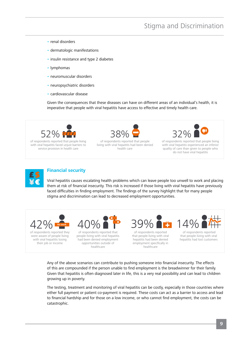- renal disorders
- dermatologic manifestations
- insulin resistance and type 2 diabetes
- lymphomas
- neuromuscular disorders
- neuropsychiatric disorders
- cardiovascular disease

Given the consequences that these diseases can have on different areas of an individual's health, it is imperative that people with viral hepatitis have access to effective and timely health care.



of respondents reported that people living with viral hepatitis faced unjust barriers to service provision in health care



of respondents reported that people living with viral hepatitis had been denied health care



of respondents reported that people living with viral hepatitis experienced an inferior quality of care than given to people who do not have viral hepatitis



## **Financial security**

Viral hepatitis causes escalating health problems which can leave people too unwell to work and placing them at risk of financial insecurity. This risk is increased if those living with viral hepatitis have previously faced difficulties in finding employment. The findings of the survey highlight that for many people stigma and discrimination can lead to decreased employment opportunities.



of respondents reported they were aware of people living with viral hepatitis losing their job or income



of respondents reported that people living with viral hepatitis had been denied employment opportunities outside of healthcare

of respondents reported that people living with viral hepatitis had been denied employment specifically in healthcare



 of respondents reported that people living with viral hepatitis had lost customers

Any of the above scenarios can contribute to pushing someone into financial insecurity. The effects of this are compounded if the person unable to find employment is the breadwinner for their family. Given that hepatitis is often diagnosed later in life, this is a very real possibility and can lead to children growing up in poverty.

The testing, treatment and monitoring of viral hepatitis can be costly, especially in those countries where either full payment or patient co-payment is required. These costs can act as a barrier to access and lead to financial hardship and for those on a low income, or who cannot find employment, the costs can be catastrophic.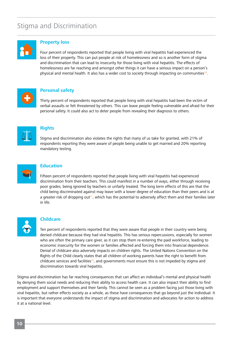

#### **Property loss**

Four percent of respondents reported that people living with viral hepatitis had experienced the loss of their property. This can put people at risk of homelessness and so is another form of stigma and discrimination that can lead to insecurity for those living with viral hepatitis. The effects of homelessness are far reaching and amongst other things it can have a serious impact on a person's physical and mental health. It also has a wider cost to society through impacting on communities<sup>10</sup>.



#### **Personal safety**

Thirty percent of respondents reported that people living with viral hepatitis had been the victim of verbal assaults or felt threatened by others. This can leave people feeling vulnerable and afraid for their personal safety. It could also act to deter people from revealing their diagnosis to others.



#### **Rights**

Stigma and discrimination also violates the rights that many of us take for granted, with 21% of respondents reporting they were aware of people being unable to get married and 20% reporting mandatory testing.



#### **Education**

Fifteen percent of respondents reported that people living with viral hepatitis had experienced discrimination from their teachers. This could manifest in a number of ways, either through receiving poor grades, being ignored by teachers or unfairly treated. The long term effects of this are that the child being discriminated against may leave with a lower degree of education than their peers and is at a greater risk of dropping out<sup>11</sup>, which has the potential to adversely affect them and their families later in life.



#### **Childcare**

Ten percent of respondents reported that they were aware that people in their country were being denied childcare because they had viral hepatitis. This has serious repercussions, especially for women who are often the primary care giver, as it can stop them re-entering the paid workforce, leading to economic insecurity for the women or families affected and forcing them into financial dependence. Denial of childcare also adversely impacts on children rights. The United Nations Convention on the Rights of the Child clearly states that all children of working parents have the right to benefit from childcare services and facilities<sup>12</sup>, and governments must ensure this is not impeded by stigma and discrimination towards viral hepatitis.

Stigma and discrimination has far reaching consequences that can affect an individual's mental and physical health by denying them social needs and reducing their ability to access health care. It can also impact their ability to find employment and support themselves and their family. This cannot be seen as a problem facing just those living with viral hepatitis, but rather effects society as a whole, as these have consequences that go beyond just the individual. It is important that everyone understands the impact of stigma and discrimination and advocates for action to address it at a national level.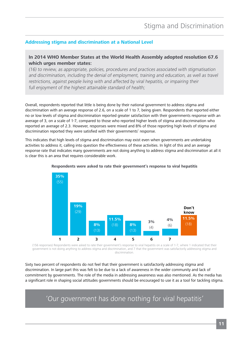## <span id="page-10-0"></span>**Addressing stigma and discrimination at a National Level**

## **In 2014 WHO Member States at the World Health Assembly adopted resolution 67.6 which urges member states:**

(16) to review, as appropriate, policies, procedures and practices associated with stigmatisation and discrimination, including the denial of employment, training and education, as well as travel restrictions, against people living with and affected by viral hepatitis, or impairing their full enjoyment of the highest attainable standard of health;

Overall, respondents reported that little is being done by their national government to address stigma and discrimination with an average response of 2.6, on a scale of 1 to 7, being given. Respondents that reported either no or low levels of stigma and discrimination reported greater satisfaction with their governments response with an average of 3, on a scale of 1-7, compared to those who reported higher levels of stigma and discrimination who reported an average of 2.3. However, responses were mixed and 8% of those reporting high levels of stigma and discrimination reported they were satisfied with their governments' response.

This indicates that high levels of stigma and discrimination may exist even when governments are undertaking activities to address it, calling into question the effectiveness of these activities. In light of this and an average response rate that indicates many governments are not doing anything to address stigma and discrimination at all it is clear this is an area that requires considerable work.



#### **Respondents were asked to rate their government's response to viral hepatitis**

(156 responses) Respondents were asked to rate their government's response to viral hepatitis on a scale of 1-7, where 1 indicated that their government is not doing anything to address stigma and discrimination, and 7 that the government was satisfactorily addressing stigma and discrimination.

Sixty two percent of respondents do not feel that their government is satisfactorily addressing stigma and discrimination. In large part this was felt to be due to a lack of awareness in the wider community and lack of commitment by governments. The role of the media in addressing awareness was also mentioned. As the media has a significant role in shaping social attitudes governments should be encouraged to use it as a tool for tackling stigma.

'Our government has done nothing for viral hepatitis'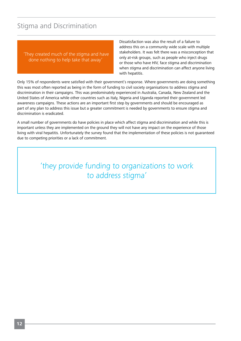'They created much of the stigma and have done nothing to help take that away'

Dissatisfaction was also the result of a failure to address this on a community wide scale with multiple stakeholders. It was felt there was a misconception that only at-risk groups, such as people who inject drugs or those who have HIV, face stigma and discrimination when stigma and discrimination can affect anyone living with hepatitis.

Only 15% of respondents were satisfied with their government's response. Where governments are doing something this was most often reported as being in the form of funding to civil society organisations to address stigma and discrimination in their campaigns. This was predominately experienced in Australia, Canada, New Zealand and the United States of America while other countries such as Italy, Nigeria and Uganda reported their government led awareness campaigns. These actions are an important first step by governments and should be encouraged as part of any plan to address this issue but a greater commitment is needed by governments to ensure stigma and discrimination is eradicated.

A small number of governments do have policies in place which affect stigma and discrimination and while this is important unless they are implemented on the ground they will not have any impact on the experience of those living with viral hepatitis. Unfortunately the survey found that the implementation of these policies is not guaranteed due to competing priorities or a lack of commitment.

## 'they provide funding to organizations to work to address stigma'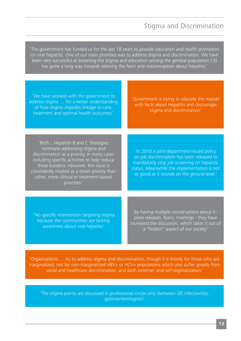'The government has funded us for the last 18 years to provide education and health promotion on viral hepatitis. One of our main priorities was to address stigma and discrimination. We have been very successful at lessening the stigma and education among the general population [.It] has gone a long way towards relieving the fears and misconception about hepatitis.'

| 'We have worked with the government to<br>address stigma  for a better understanding<br>of how stigma impedes linkage to care,<br>treatment and optimal health outcomes.'                                                                                                                                               | 'Government is trying to educate the masses<br>with facts about Hepatitis and discourage<br>stigma and discrimination'                                                                                                              |
|-------------------------------------------------------------------------------------------------------------------------------------------------------------------------------------------------------------------------------------------------------------------------------------------------------------------------|-------------------------------------------------------------------------------------------------------------------------------------------------------------------------------------------------------------------------------------|
|                                                                                                                                                                                                                                                                                                                         |                                                                                                                                                                                                                                     |
| 'BothHepatitis B and C Strategies<br>nominate addressing stigma and<br>discrimination as a priority, in many cases<br>including specific activities to help reduce<br>these burdens. However, this issue is<br>consistently treated as a lower priority than<br>other, more clinical or treatment-based<br>priorities.' | 'In 2010 a joint-department-issued policy<br>on job discrimination has been released to<br>mandatorily stop job screening on hepatitis<br>status. Meanwhile the implementation is not<br>as good as it sounds on the ground level.' |
|                                                                                                                                                                                                                                                                                                                         |                                                                                                                                                                                                                                     |
| 'No specific intervention targeting stigma<br>because the communities are lacking<br>awareness about viral hepatitis'                                                                                                                                                                                                   | 'by having multiple conversations about it -<br>press releases, flyers, meetings - they have<br>increased the discussion, which takes it out of<br>a "hidden" aspect of our society'                                                |

'Organizations … try to address stigma and discrimination, though it is mostly for those who are marginalized, not for non-marginalized HBV+ or HCV+ populations which also suffer greatly from social and healthcare discrimination, and both external- and self-stigmatization.'

'The stigma points are discussed in professional circles only (between GP, infectionists, gastroenterologists)'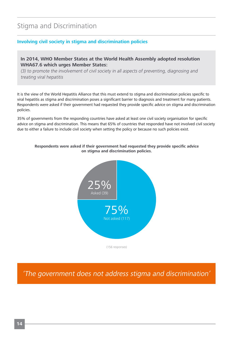## <span id="page-13-0"></span>**Involving civil society in stigma and discrimination policies**

## **In 2014, WHO Member States at the World Health Assembly adopted resolution WHA67.6 which urges Member States:**

(3) to promote the involvement of civil society in all aspects of preventing, diagnosing and treating viral hepatitis

It is the view of the World Hepatitis Alliance that this must extend to stigma and discrimination policies specific to viral hepatitis as stigma and discrimination poses a significant barrier to diagnosis and treatment for many patients. Respondents were asked if their government had requested they provide specific advice on stigma and discrimination policies.

35% of governments from the responding countries have asked at least one civil society organisation for specific advice on stigma and discrimination. This means that 65% of countries that responded have not involved civil society due to either a failure to include civil society when setting the policy or because no such policies exist.



**Respondents were asked if their government had requested they provide specific advice on stigma and discrimination policies.**

'The government does not address stigma and discrimination'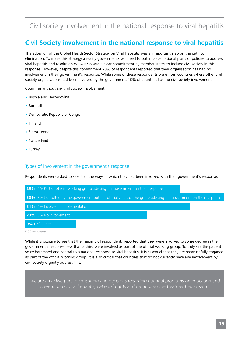## <span id="page-14-0"></span>**Civil Society involvement in the national response to viral hepatitis**

The adoption of the Global Health Sector Strategy on Viral Hepatitis was an important step on the path to elimination. To make this strategy a reality governments will need to put in place national plans or policies to address viral hepatitis and resolution WHA 67.6 was a clear commitment by member states to include civil society in this response. However, despite this commitment 23% of respondents reported that their organisation has had no involvement in their government's response. While some of these respondents were from countries where other civil society organisations had been involved by the government, 10% of countries had no civil society involvement.

Countries without any civil society involvement:

- Bosnia and Herzegovina
- • Burundi
- Democratic Republic of Congo
- • Finland
- • Sierra Leone
- Switzerland
- Turkey

#### Types of involvement in the government's response

Respondents were asked to select all the ways in which they had been involved with their government's response.

| <b>29%</b> (46) Part of official working group advising the government on their response                                   |  |  |
|----------------------------------------------------------------------------------------------------------------------------|--|--|
| <b>38%</b> (59) Consulted by the government but not officially part of the group advising the government on their response |  |  |
| <b>31%</b> (49) Involved in implementation                                                                                 |  |  |
| 23% (36) No involvement                                                                                                    |  |  |
| 9% (15) Other                                                                                                              |  |  |

(156 responses)

While it is positive to see that the majority of respondents reported that they were involved to some degree in their government's response, less than a third were involved as part of the official working group. To truly see the patient voice harnessed and central to a national response to viral hepatitis, it is essential that they are meaningfully engaged as part of the official working group. It is also critical that countries that do not currently have any involvement by civil society urgently address this.

'we are an active part to consulting and decisions regarding national programs on education and prevention on viral hepatitis, patients' rights and monitoring the treatment admission.'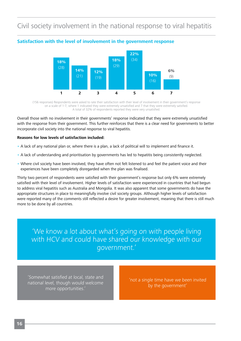## <span id="page-15-0"></span>Civil society involvement in the national response to viral hepatitis



#### **Satisfaction with the level of involvement in the government response**

(156 responses) Respondents were asked to rate their satisfaction with their level of involvement in their government's response on a scale of 1-7, where 1 indicated they were extremely unsatisfied and 7 that they were extremely satisfied. A total of 32% of respondents reported they were very unsatisfied.

Overall those with no involvement in their governments' response indicated that they were extremely unsatisfied with the response from their government. This further reinforces that there is a clear need for governments to better incorporate civil society into the national response to viral hepatitis.

#### **Reasons for low levels of satisfaction included:**

- A lack of any national plan or, where there is a plan, a lack of political will to implement and finance it.
- • A lack of understanding and prioritisation by governments has led to hepatitis being consistently neglected.
- • Where civil society have been involved, they have often not felt listened to and feel the patient voice and their experiences have been completely disregarded when the plan was finalised.

Thirty two percent of respondents were satisfied with their government's response but only 6% were extremely satisfied with their level of involvement. Higher levels of satisfaction were experienced in countries that had begun to address viral hepatitis such as Australia and Mongolia. It was also apparent that some governments do have the appropriate structures in place to meaningfully involve civil society groups. Although higher levels of satisfaction were reported many of the comments still reflected a desire for greater involvement, meaning that there is still much more to be done by all countries.

'We know a lot about what's going on with people living with HCV and could have shared our knowledge with our government.'

'Somewhat satisfied at local, state and national level, though would welcome more opportunities.'

'not a single time have we been invited by the government'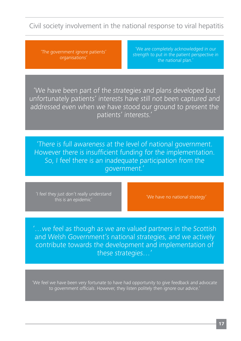Civil society involvement in the national response to viral hepatitis

'The government ignore patients' organisations'

'We are completely acknowledged in our strength to put in the patient perspective in the national plan.'

'We have been part of the strategies and plans developed but unfortunately patients' interests have still not been captured and addressed even when we have stood our ground to present the patients' interests.'

'There is full awareness at the level of national government. However there is insufficient funding for the implementation. So, I feel there is an inadequate participation from the government.'

'I feel they just don't really understand y just don't really different and the state of the 'We have no national strategy'<br>this is an epidemic'

'…we feel as though as we are valued partners in the Scottish and Welsh Government's national strategies, and we actively contribute towards the development and implementation of these strategies…'

'We feel we have been very fortunate to have had opportunity to give feedback and advocate to government officials. However, they listen politely then ignore our advice.'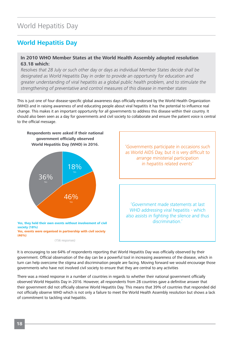## <span id="page-17-0"></span>World Hepatitis Day

## **World Hepatitis Day**

## **In 2010 WHO Member States at the World Health Assembly adopted resolution 63.18 which:**

Resolves that 28 July or such other day or days as individual Member States decide shall be designated as World Hepatitis Day in order to provide an opportunity for education and greater understanding of viral hepatitis as a global public health problem, and to stimulate the strengthening of preventative and control measures of this disease in member states

This is just one of four disease-specific global awareness days officially endorsed by the World Health Organization (WHO) and in raising awareness of and educating people about viral hepatitis it has the potential to influence real change. This makes it an important opportunity for all governments to address this disease within their country. It should also been seen as a day for governments and civil society to collaborate and ensure the patient voice is central to the official message.



It is encouraging to see 64% of respondents reporting that World Hepatitis Day was officially observed by their government. Official observation of the day can be a powerful tool in increasing awareness of the disease, which in turn can help overcome the stigma and discrimination people are facing. Moving forward we would encourage those governments who have not involved civil society to ensure that they are central to any activities

There was a mixed response in a number of countries in regards to whether their national government officially observed World Hepatitis Day in 2016. However, all respondents from 28 countries gave a definitive answer that their government did not officially observe World Hepatitis Day. This means that 39% of countries that responded did not officially observe WHD which is not only a failure to meet the World Health Assembly resolution but shows a lack of commitment to tackling viral hepatitis.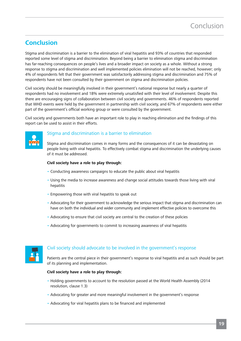## <span id="page-18-0"></span>**Conclusion**

Stigma and discrimination is a barrier to the elimination of viral hepatitis and 93% of countries that responded reported some level of stigma and discrimination. Beyond being a barrier to elimination stigma and discrimination has far-reaching consequences on people's lives and a broader impact on society as a whole. Without a strong response to stigma and discrimination and well implemented policies elimination will not be reached, however; only 4% of respondents felt that their government was satisfactorily addressing stigma and discrimination and 75% of respondents have not been consulted by their government on stigma and discrimination policies.

Civil society should be meaningfully involved in their government's national response but nearly a quarter of respondents had no involvement and 18% were extremely unsatisfied with their level of involvement. Despite this there are encouraging signs of collaboration between civil society and governments. 46% of respondents reported that WHD events were held by the government in partnership with civil society, and 67% of respondents were either part of the government's official working group or were consulted by the government.

Civil society and governments both have an important role to play in reaching elimination and the findings of this report can be used to assist in their efforts.



## Stigma and discrimination is a barrier to elimination

Stigma and discrimination comes in many forms and the consequences of it can be devastating on people living with viral hepatitis. To effectively combat stigma and discrimination the underlying causes of it must be addressed.

#### **Civil society have a role to play through:**

- Conducting awareness campaigns to educate the public about viral hepatitis
- • Using the media to increase awareness and change social attitudes towards those living with viral hepatitis
- Empowering those with viral hepatitis to speak out
- • Advocating for their government to acknowledge the serious impact that stigma and discrimination can have on both the individual and wider community and implement effective policies to overcome this
- Advocating to ensure that civil society are central to the creation of these policies
- Advocating for governments to commit to increasing awareness of viral hepatitis



#### Civil society should advocate to be involved in the government's response

Patients are the central piece in their government's response to viral hepatitis and as such should be part of its planning and implementation.

#### **Civil society have a role to play through:**

- • Holding governments to account to the resolution passed at the World Health Assembly (2014 resolution, clause 1.3)
- Advocating for greater and more meaningful involvement in the government's response
- Advocating for viral hepatitis plans to be financed and implemented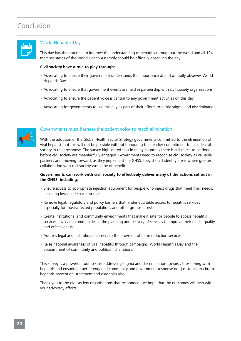## <span id="page-19-0"></span>Conclusion



#### World Hepatitis Day

This day has the potential to improve the understanding of hepatitis throughout the world and all 194 member states of the World Health Assembly should be officially observing the day.

#### **Civil society have a role to play through:**

- • Advocating to ensure their government understands the importance of and officially observes World Hepatitis Day
- Advocating to ensure that government events are held in partnership with civil society organisations
- Advocating to ensure the patient voice is central to any government activities on this day
- • Advocating for governments to use this day as part of their efforts to tackle stigma and discrimination



#### Governments must harness the patient voice to reach elimination

With the adoption of the Global Health Sector Strategy governments committed to the elimination of viral hepatitis but this will not be possible without honouring their earlier commitment to include civil society in their response. The survey highlighted that in many countries there is still much to be done before civil society are meaningfully engaged. Governments need to recognise civil society as valuable partners and, moving forward, as they implement the GHSS, they should identify areas where greater collaboration with civil society would be of benefit.

#### **Governments can work with civil society to effectively deliver many of the actions set out in the GHSS, including:**

- Ensure access to appropriate injection equipment for people who inject drugs that meet their needs, including low dead-space syringes
- • Remove legal, regulatory and policy barriers that hinder equitable access to hepatitis services especially for most-affected populations and other groups at risk
- • Create institutional and community environments that make it safe for people to access hepatitis services, involving communities in the planning and delivery of services to improve their reach, quality and effectiveness
- Address legal and institutional barriers to the provision of harm reduction services
- • Raise national awareness of viral hepatitis through campaigns, World Hepatitis Day and the appointment of community and political "champions"

This survey is a powerful tool to start addressing stigma and discrimination towards those living with hepatitis and ensuring a better engaged community and government response not just to stigma but to hepatitis prevention, treatment and diagnosis also.

Thank you to the civil society organisations that responded; we hope that the outcomes will help with your advocacy efforts.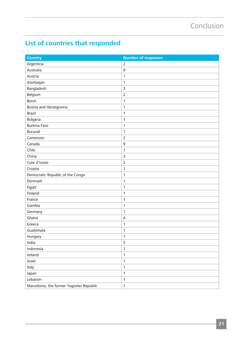## <span id="page-20-0"></span>**List of countries that responded**

| <b>Country</b>                          | <b>Number of responses</b> |
|-----------------------------------------|----------------------------|
| Argentina                               | $\overline{2}$             |
| Australia                               | 9                          |
| Austria                                 | $\mathbf 1$                |
| Azerbaijan                              | $\mathbf 1$                |
| Bangladesh                              | 3                          |
| Belgium                                 | $\overline{2}$             |
| Benin                                   | $\mathbf{1}$               |
| Bosnia and Herzegovina                  | $\mathbf 1$                |
| Brazil                                  | $\mathbf 1$                |
| Bulgaria                                | $\mathbf{1}$               |
| <b>Burkina Faso</b>                     | $\mathbf 1$                |
| Burundi                                 | $\mathbf{1}$               |
| Cameroon                                | $\overline{2}$             |
| Canada                                  | 9                          |
| Chile                                   | $\mathbf{1}$               |
| China                                   | 3                          |
| Cote d'Ivoire                           | $\overline{2}$             |
| Croatia                                 | $\mathbf{1}$               |
| Democratic Republic of the Congo        | $\mathbf{1}$               |
| Denmark                                 | $\mathbf{1}$               |
| Egypt                                   | $\mathbf{1}$               |
| Finland                                 | $\mathbf{1}$               |
| France                                  | $\mathbf{1}$               |
| Gambia                                  | $\mathbf{1}$               |
| Germany                                 | $\mathbf{1}$               |
| Ghana                                   | $\sqrt{4}$                 |
| Greece                                  | $\mathbf 1$                |
| Guatemala                               | 1                          |
| Hungary                                 | $\mathbf{1}$               |
| India                                   | 5                          |
| Indonesia                               | $\mathbf{1}$               |
| Ireland                                 | $\mathbf{1}$               |
| Israel                                  | $\mathbf{1}$               |
| Italy                                   | $\mathbf{1}$               |
| Japan                                   | $\mathbf{1}$               |
| Lebanon                                 | $\mathbf 1$                |
| Macedonia, the former Yugoslav Republic | $\mathbf{1}$               |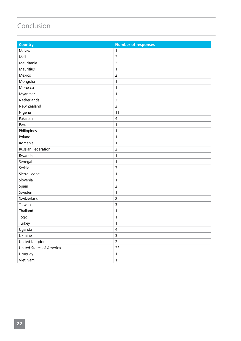## Conclusion

| <b>Country</b>           | <b>Number of responses</b> |
|--------------------------|----------------------------|
| Malawi                   | 1                          |
| Mali                     | $\mathbf 2$                |
| Mauritania               | $\overline{2}$             |
| Mauritius                | $\mathbf{1}$               |
| Mexico                   | $\mathbf 2$                |
| Mongolia                 | $\mathbf{1}$               |
| Morocco                  | 1                          |
| Myanmar                  | $\mathbf{1}$               |
| Netherlands              | $\overline{2}$             |
| New Zealand              | $\overline{2}$             |
| Nigeria                  | 11                         |
| Pakistan                 | $\overline{4}$             |
| Peru                     | $\mathbf 1$                |
| Philippines              | $\mathbf{1}$               |
| Poland                   | $\mathbf{1}$               |
| Romania                  | $\mathbf{1}$               |
| Russian Federation       | $\mathbf 2$                |
| Rwanda                   | $\mathbf{1}$               |
| Senegal                  | $\mathbf 1$                |
| Serbia                   | $\mathsf 3$                |
| Sierra Leone             | $\mathbf 1$                |
| Slovenia                 | 1                          |
| Spain                    | $\mathbf 2$                |
| Sweden                   | $\mathbf 1$                |
| Switzerland              | $\mathbf 2$                |
| Taiwan                   | $\mathsf 3$                |
| Thailand                 | $\mathbf{1}$               |
| Togo                     | 1                          |
| Turkey                   | 1                          |
| Uganda                   | $\overline{4}$             |
| Ukraine                  | $\mathsf{3}$               |
| United Kingdom           | $\overline{2}$             |
| United States of America | 23                         |
| Uruguay                  | $\mathbf 1$                |
| Viet Nam                 | $\mathbf{1}$               |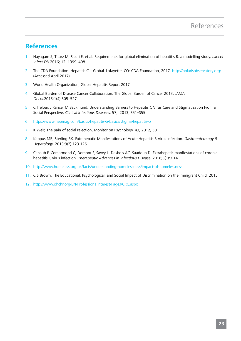## <span id="page-22-0"></span>**References**

- 1. Nayagam S, Thurz M, Sicuri E, et al. Requirements for global elimination of hepatitis B: a modelling study. Lancet Infect Dis 2016; 12: 1399–408.
- 2. The CDA Foundation. Hepatitis C Global. Lafayette, CO: CDA Foundation, 2017.<http://polarisobservatory.org/> (Accessed April 2017)
- 3. World Health Organization, Global Hepatitis Report 2017
- 4. Global Burden of Disease Cancer Collaboration. The Global Burden of Cancer 2013. JAMA Oncol.2015;1(4):505–527
- 5. C Treloar, J Rance, M Backmund; Understanding Barriers to Hepatitis C Virus Care and Stigmatization From a Social Perspective, Clinical Infectious Diseases, 57, 2013, S51–S55
- 6. <https://www.hepmag.com/basics/hepatitis-b-basics/stigma-hepatitis-b>
- 7. K Weir, The pain of social rejection, Monitor on Psychology, 43, 2012, 50
- 8. Kappus MR, Sterling RK. Extrahepatic Manifestations of Acute Hepatitis B Virus Infection. Gastroenterology & Hepatology. 2013;9(2):123-126
- 9. Cacoub P, Comarmond C, Domont F, Savey L, Desbois AC, Saadoun D. Extrahepatic manifestations of chronic hepatitis C virus infection. Therapeutic Advances in Infectious Disease. 2016;3(1):3-14
- 10. <http://www.homeless.org.uk/facts/understanding-homelessness/impact-of-homelessness>
- 11. C S Brown, The Educational, Psychological, and Social Impact of Discrimination on the Immigrant Child, 2015
- 12. <http://www.ohchr.org/EN/ProfessionalInterest/Pages/CRC.aspx>